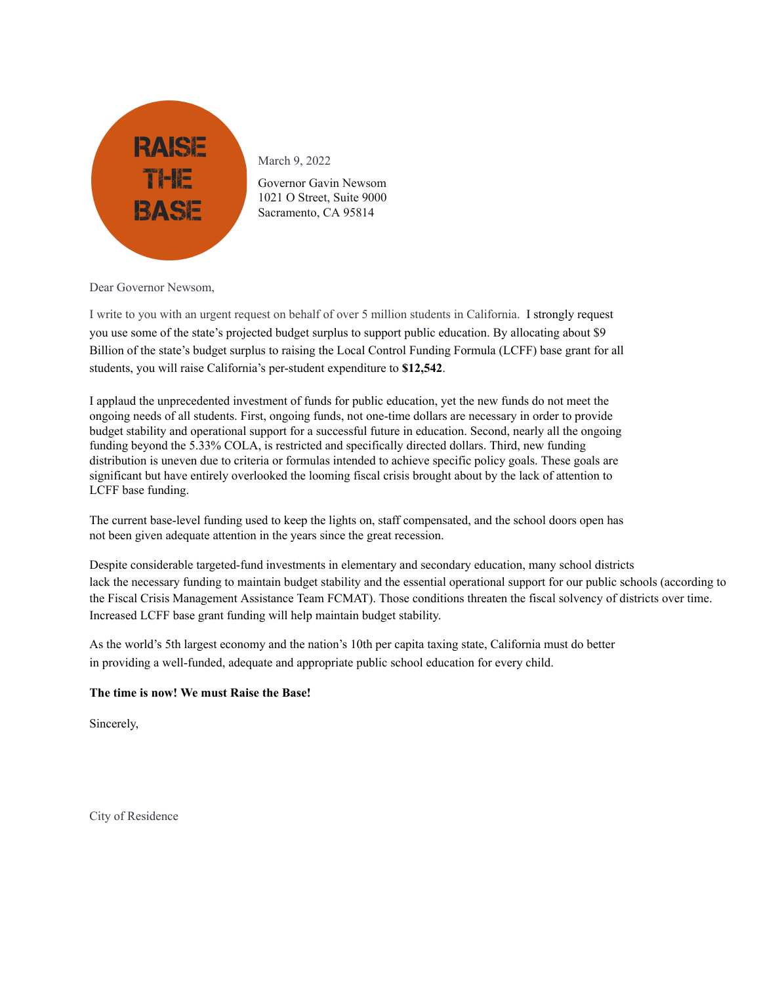

March 9, 2022

Governor Gavin Newsom 1021 O Street, Suite 9000 Sacramento, CA 95814

Dear Governor Newsom,

I write to you with an urgent request on behalf of over 5 million students in California. I strongly request you use some of the state's projected budget surplus to support public education. By allocating about \$9 Billion of the state's budget surplus to raising the Local Control Funding Formula (LCFF) base grant for all students, you will raise California's per-student expenditure to **\$12,542**.

I applaud the unprecedented investment of funds for public education, yet the new funds do not meet the ongoing needs of all students. First, ongoing funds, not one-time dollars are necessary in order to provide budget stability and operational support for a successful future in education. Second, nearly all the ongoing funding beyond the 5.33% COLA, is restricted and specifically directed dollars. Third, new funding distribution is uneven due to criteria or formulas intended to achieve specific policy goals. These goals are significant but have entirely overlooked the looming fiscal crisis brought about by the lack of attention to LCFF base funding.

The current base-level funding used to keep the lights on, staff compensated, and the school doors open has not been given adequate attention in the years since the great recession.

Despite considerable targeted-fund investments in elementary and secondary education, many school districts lack the necessary funding to maintain budget stability and the essential operational support for our public schools (according to the Fiscal Crisis Management Assistance Team FCMAT). Those conditions threaten the fiscal solvency of districts over time. Increased LCFF base grant funding will help maintain budget stability.

As the world's 5th largest economy and the nation's 10th per capita taxing state, California must do better in providing a well-funded, adequate and appropriate public school education for every child.

## **The time is now! We must Raise the Base!**

Sincerely,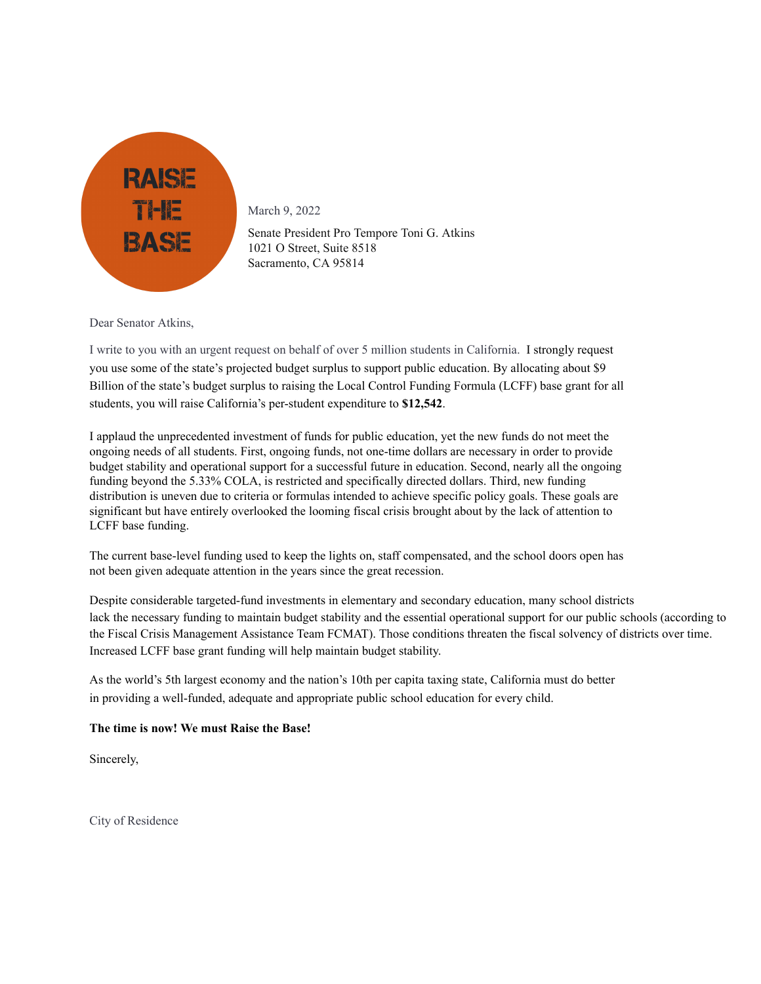

March 9, 2022

Senate President Pro Tempore Toni G. Atkins 1021 O Street, Suite 8518 Sacramento, CA 95814

Dear Senator Atkins,

I write to you with an urgent request on behalf of over 5 million students in California. I strongly request you use some of the state's projected budget surplus to support public education. By allocating about \$9 Billion of the state's budget surplus to raising the Local Control Funding Formula (LCFF) base grant for all students, you will raise California's per-student expenditure to **\$12,542**.

I applaud the unprecedented investment of funds for public education, yet the new funds do not meet the ongoing needs of all students. First, ongoing funds, not one-time dollars are necessary in order to provide budget stability and operational support for a successful future in education. Second, nearly all the ongoing funding beyond the 5.33% COLA, is restricted and specifically directed dollars. Third, new funding distribution is uneven due to criteria or formulas intended to achieve specific policy goals. These goals are significant but have entirely overlooked the looming fiscal crisis brought about by the lack of attention to LCFF base funding.

The current base-level funding used to keep the lights on, staff compensated, and the school doors open has not been given adequate attention in the years since the great recession.

Despite considerable targeted-fund investments in elementary and secondary education, many school districts lack the necessary funding to maintain budget stability and the essential operational support for our public schools (according to the Fiscal Crisis Management Assistance Team FCMAT). Those conditions threaten the fiscal solvency of districts over time. Increased LCFF base grant funding will help maintain budget stability.

As the world's 5th largest economy and the nation's 10th per capita taxing state, California must do better in providing a well-funded, adequate and appropriate public school education for every child.

## **The time is now! We must Raise the Base!**

Sincerely,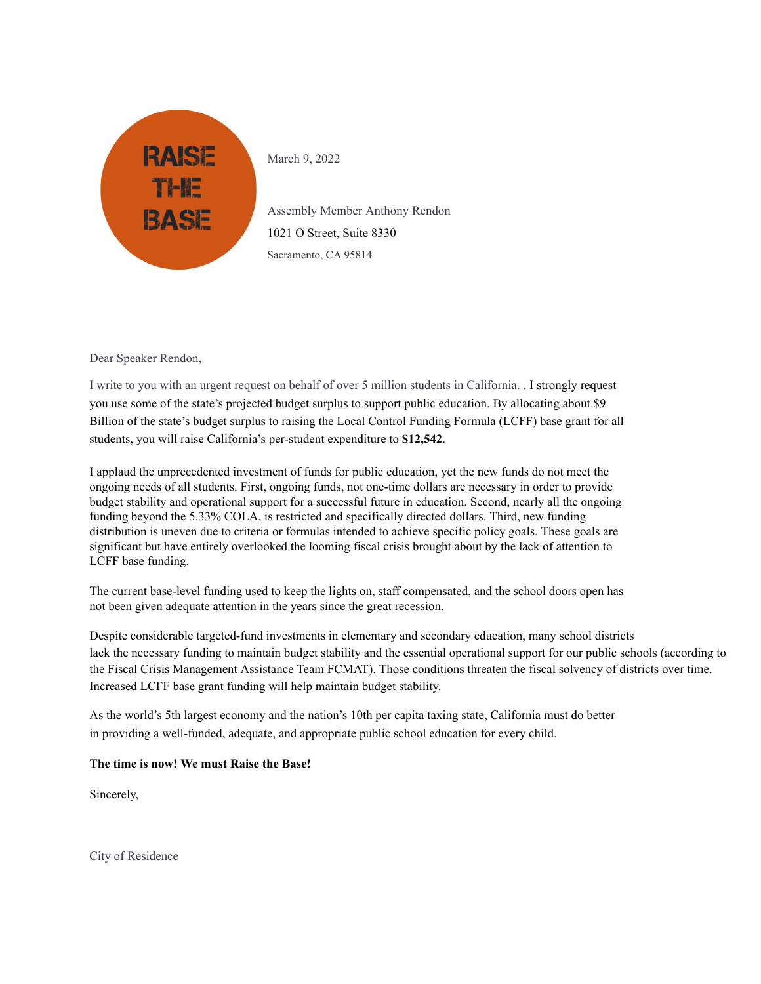

March 9, 2022

Assembly Member Anthony Rendon 1021 O Street, Suite 8330 Sacramento, CA 95814

Dear Speaker Rendon,

I write to you with an urgent request on behalf of over 5 million students in California. . I strongly request you use some of the state's projected budget surplus to support public education. By allocating about \$9 Billion of the state's budget surplus to raising the Local Control Funding Formula (LCFF) base grant for all students, you will raise California's per-student expenditure to **\$12,542**.

I applaud the unprecedented investment of funds for public education, yet the new funds do not meet the ongoing needs of all students. First, ongoing funds, not one-time dollars are necessary in order to provide budget stability and operational support for a successful future in education. Second, nearly all the ongoing funding beyond the 5.33% COLA, is restricted and specifically directed dollars. Third, new funding distribution is uneven due to criteria or formulas intended to achieve specific policy goals. These goals are significant but have entirely overlooked the looming fiscal crisis brought about by the lack of attention to LCFF base funding.

The current base-level funding used to keep the lights on, staff compensated, and the school doors open has not been given adequate attention in the years since the great recession.

Despite considerable targeted-fund investments in elementary and secondary education, many school districts lack the necessary funding to maintain budget stability and the essential operational support for our public schools (according to the Fiscal Crisis Management Assistance Team FCMAT). Those conditions threaten the fiscal solvency of districts over time. Increased LCFF base grant funding will help maintain budget stability.

As the world's 5th largest economy and the nation's 10th per capita taxing state, California must do better in providing a well-funded, adequate, and appropriate public school education for every child.

## **The time is now! We must Raise the Base!**

Sincerely,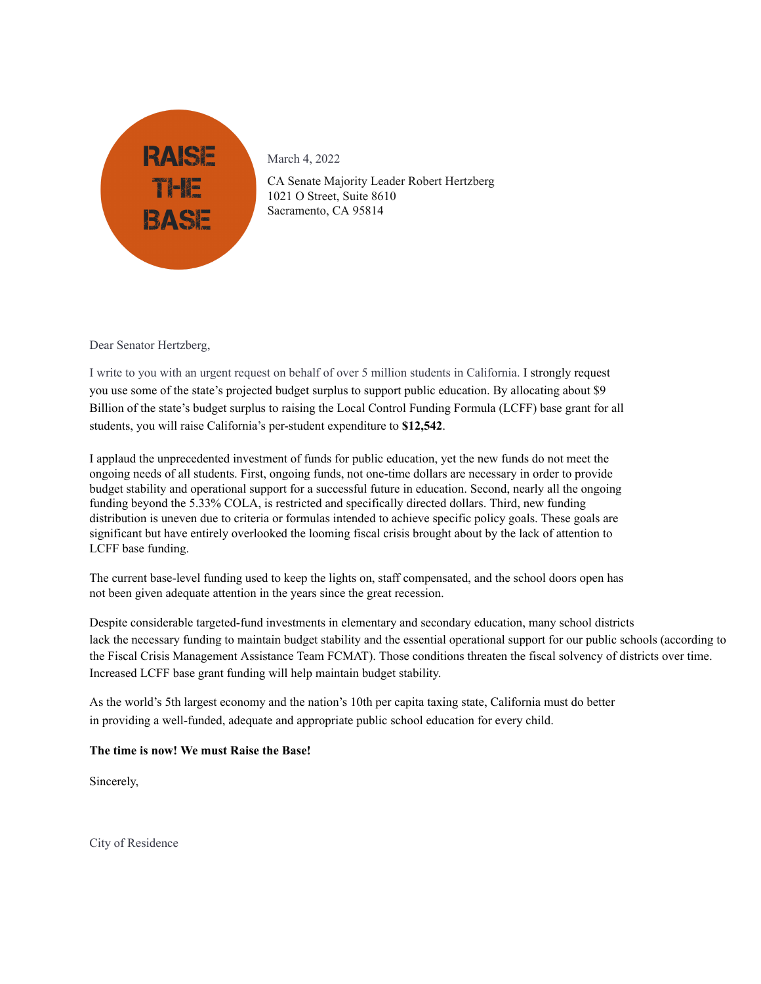

CA Senate Majority Leader Robert Hertzberg 1021 O Street, Suite 8610 Sacramento, CA 95814

Dear Senator Hertzberg,

I write to you with an urgent request on behalf of over 5 million students in California. I strongly request you use some of the state's projected budget surplus to support public education. By allocating about \$9 Billion of the state's budget surplus to raising the Local Control Funding Formula (LCFF) base grant for all students, you will raise California's per-student expenditure to **\$12,542**.

I applaud the unprecedented investment of funds for public education, yet the new funds do not meet the ongoing needs of all students. First, ongoing funds, not one-time dollars are necessary in order to provide budget stability and operational support for a successful future in education. Second, nearly all the ongoing funding beyond the 5.33% COLA, is restricted and specifically directed dollars. Third, new funding distribution is uneven due to criteria or formulas intended to achieve specific policy goals. These goals are significant but have entirely overlooked the looming fiscal crisis brought about by the lack of attention to LCFF base funding.

The current base-level funding used to keep the lights on, staff compensated, and the school doors open has not been given adequate attention in the years since the great recession.

Despite considerable targeted-fund investments in elementary and secondary education, many school districts lack the necessary funding to maintain budget stability and the essential operational support for our public schools (according to the Fiscal Crisis Management Assistance Team FCMAT). Those conditions threaten the fiscal solvency of districts over time. Increased LCFF base grant funding will help maintain budget stability.

As the world's 5th largest economy and the nation's 10th per capita taxing state, California must do better in providing a well-funded, adequate and appropriate public school education for every child.

## **The time is now! We must Raise the Base!**

Sincerely,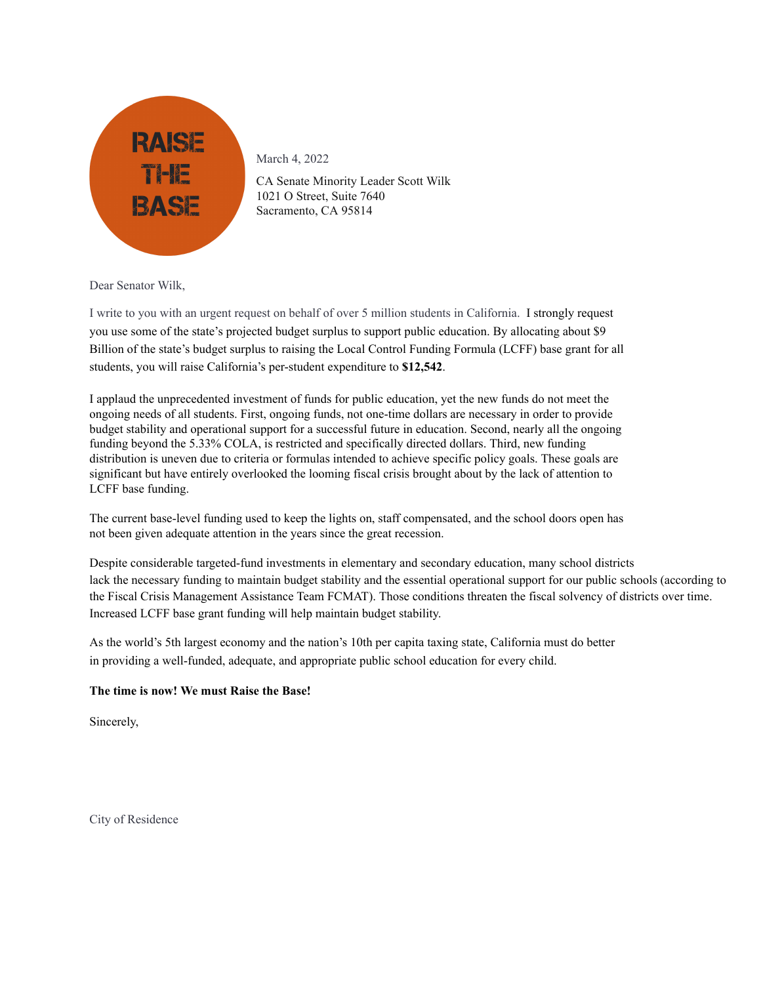

CA Senate Minority Leader Scott Wilk 1021 O Street, Suite 7640 Sacramento, CA 95814

Dear Senator Wilk,

I write to you with an urgent request on behalf of over 5 million students in California. I strongly request you use some of the state's projected budget surplus to support public education. By allocating about \$9 Billion of the state's budget surplus to raising the Local Control Funding Formula (LCFF) base grant for all students, you will raise California's per-student expenditure to **\$12,542**.

I applaud the unprecedented investment of funds for public education, yet the new funds do not meet the ongoing needs of all students. First, ongoing funds, not one-time dollars are necessary in order to provide budget stability and operational support for a successful future in education. Second, nearly all the ongoing funding beyond the 5.33% COLA, is restricted and specifically directed dollars. Third, new funding distribution is uneven due to criteria or formulas intended to achieve specific policy goals. These goals are significant but have entirely overlooked the looming fiscal crisis brought about by the lack of attention to LCFF base funding.

The current base-level funding used to keep the lights on, staff compensated, and the school doors open has not been given adequate attention in the years since the great recession.

Despite considerable targeted-fund investments in elementary and secondary education, many school districts lack the necessary funding to maintain budget stability and the essential operational support for our public schools (according to the Fiscal Crisis Management Assistance Team FCMAT). Those conditions threaten the fiscal solvency of districts over time. Increased LCFF base grant funding will help maintain budget stability.

As the world's 5th largest economy and the nation's 10th per capita taxing state, California must do better in providing a well-funded, adequate, and appropriate public school education for every child.

## **The time is now! We must Raise the Base!**

Sincerely,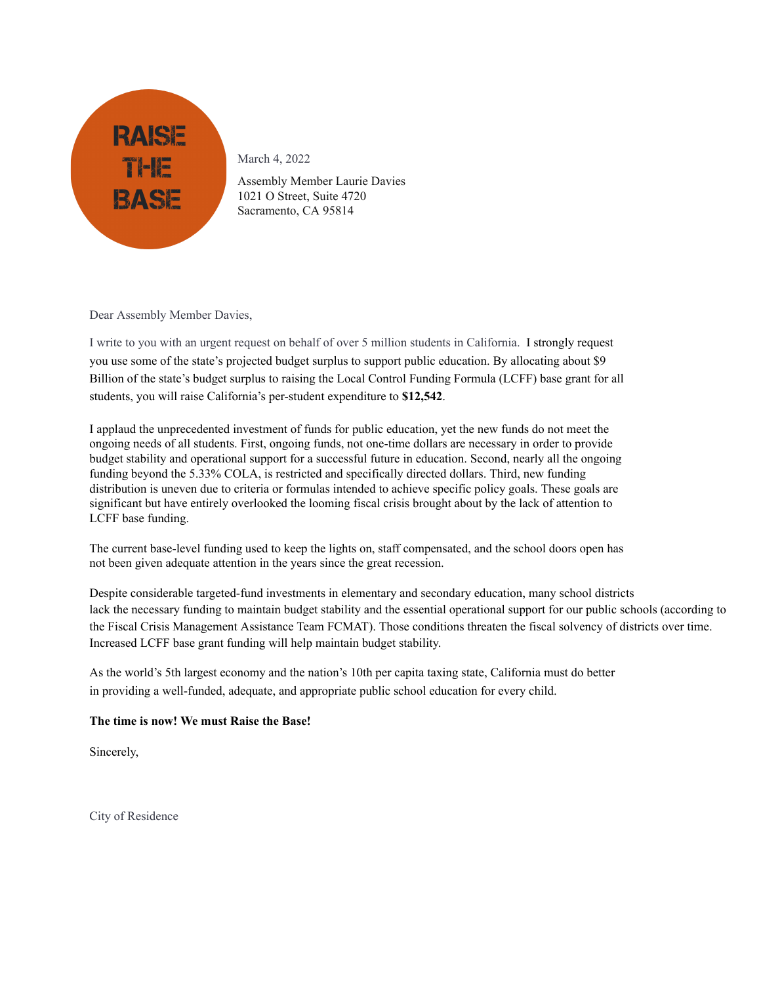

Assembly Member Laurie Davies 1021 O Street, Suite 4720 Sacramento, CA 95814

Dear Assembly Member Davies,

I write to you with an urgent request on behalf of over 5 million students in California. I strongly request you use some of the state's projected budget surplus to support public education. By allocating about \$9 Billion of the state's budget surplus to raising the Local Control Funding Formula (LCFF) base grant for all students, you will raise California's per-student expenditure to **\$12,542**.

I applaud the unprecedented investment of funds for public education, yet the new funds do not meet the ongoing needs of all students. First, ongoing funds, not one-time dollars are necessary in order to provide budget stability and operational support for a successful future in education. Second, nearly all the ongoing funding beyond the 5.33% COLA, is restricted and specifically directed dollars. Third, new funding distribution is uneven due to criteria or formulas intended to achieve specific policy goals. These goals are significant but have entirely overlooked the looming fiscal crisis brought about by the lack of attention to LCFF base funding.

The current base-level funding used to keep the lights on, staff compensated, and the school doors open has not been given adequate attention in the years since the great recession.

Despite considerable targeted-fund investments in elementary and secondary education, many school districts lack the necessary funding to maintain budget stability and the essential operational support for our public schools (according to the Fiscal Crisis Management Assistance Team FCMAT). Those conditions threaten the fiscal solvency of districts over time. Increased LCFF base grant funding will help maintain budget stability.

As the world's 5th largest economy and the nation's 10th per capita taxing state, California must do better in providing a well-funded, adequate, and appropriate public school education for every child.

# **The time is now! We must Raise the Base!**

Sincerely,